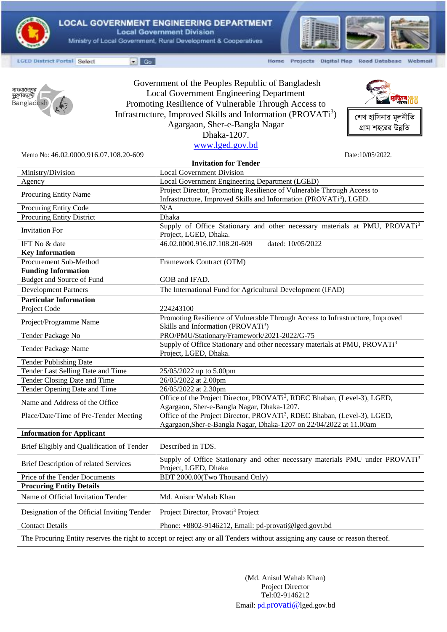

**LOCAL GOVERNMENT ENGINEERING DEPARTMENT Local Government Division** Ministry of Local Government, Rural Development & Cooperatives



*শে*খ হাসিনার মূলনীতি গ্রাম শহরের উন্নতি

**STE MUJIE** 

**LGED District Portal Select** 

 $\blacksquare$  Go

Home Projects Digital Map Road Database Webmail



Government of the Peoples Republic of Bangladesh Local Government Engineering Department Promoting Resilience of Vulnerable Through Access to Infrastructure, Improved Skills and Information (PROVATi<sup>3</sup>) Agargaon, Sher-e-Bangla Nagar Dhaka-1207.

[www.lged.gov.bd](http://www.lged.gov.bd/)

Memo No: 46.02.0000.916.07.108.20-609 Date:10/05/2022.

| <b>Invitation for Tender</b>                                                                                                  |                                                                                                                                                            |
|-------------------------------------------------------------------------------------------------------------------------------|------------------------------------------------------------------------------------------------------------------------------------------------------------|
| Ministry/Division                                                                                                             | <b>Local Government Division</b>                                                                                                                           |
| Agency                                                                                                                        | Local Government Engineering Department (LGED)                                                                                                             |
| Procuring Entity Name                                                                                                         | Project Director, Promoting Resilience of Vulnerable Through Access to                                                                                     |
|                                                                                                                               | Infrastructure, Improved Skills and Information (PROVATi <sup>3</sup> ), LGED.                                                                             |
| Procuring Entity Code                                                                                                         | N/A                                                                                                                                                        |
| <b>Procuring Entity District</b>                                                                                              | Dhaka                                                                                                                                                      |
| <b>Invitation For</b>                                                                                                         | Supply of Office Stationary and other necessary materials at PMU, PROVATi <sup>3</sup><br>Project, LGED, Dhaka.                                            |
| IFT No & date                                                                                                                 | 46.02.0000.916.07.108.20-609<br>dated: 10/05/2022                                                                                                          |
| <b>Key Information</b>                                                                                                        |                                                                                                                                                            |
| Procurement Sub-Method                                                                                                        | Framework Contract (OTM)                                                                                                                                   |
| <b>Funding Information</b>                                                                                                    |                                                                                                                                                            |
| <b>Budget and Source of Fund</b>                                                                                              | GOB and IFAD.                                                                                                                                              |
| <b>Development Partners</b>                                                                                                   | The International Fund for Agricultural Development (IFAD)                                                                                                 |
| <b>Particular Information</b>                                                                                                 |                                                                                                                                                            |
| Project Code                                                                                                                  | 224243100                                                                                                                                                  |
| Project/Programme Name                                                                                                        | Promoting Resilience of Vulnerable Through Access to Infrastructure, Improved<br>Skills and Information (PROVATi <sup>3</sup> )                            |
| Tender Package No                                                                                                             | PRO/PMU/Stationary/Framework/2021-2022/G-75                                                                                                                |
| Tender Package Name                                                                                                           | Supply of Office Stationary and other necessary materials at PMU, PROVATi <sup>3</sup><br>Project, LGED, Dhaka.                                            |
| <b>Tender Publishing Date</b>                                                                                                 |                                                                                                                                                            |
| Tender Last Selling Date and Time                                                                                             | 25/05/2022 up to 5.00pm                                                                                                                                    |
| Tender Closing Date and Time                                                                                                  | 26/05/2022 at 2.00pm                                                                                                                                       |
| Tender Opening Date and Time                                                                                                  | 26/05/2022 at 2.30pm                                                                                                                                       |
| Name and Address of the Office                                                                                                | Office of the Project Director, PROVATi <sup>3</sup> , RDEC Bhaban, (Level-3), LGED,<br>Agargaon, Sher-e-Bangla Nagar, Dhaka-1207.                         |
| Place/Date/Time of Pre-Tender Meeting                                                                                         | Office of the Project Director, PROVATi <sup>3</sup> , RDEC Bhaban, (Level-3), LGED,<br>Agargaon, Sher-e-Bangla Nagar, Dhaka-1207 on 22/04/2022 at 11.00am |
| <b>Information for Applicant</b>                                                                                              |                                                                                                                                                            |
| Brief Eligibly and Qualification of Tender                                                                                    | Described in TDS.                                                                                                                                          |
| <b>Brief Description of related Services</b>                                                                                  | Supply of Office Stationary and other necessary materials PMU under PROVATi <sup>3</sup><br>Project, LGED, Dhaka                                           |
| Price of the Tender Documents                                                                                                 | BDT 2000.00(Two Thousand Only)                                                                                                                             |
| <b>Procuring Entity Details</b>                                                                                               |                                                                                                                                                            |
| Name of Official Invitation Tender                                                                                            | Md. Anisur Wahab Khan                                                                                                                                      |
| Designation of the Official Inviting Tender                                                                                   | Project Director, Provati <sup>3</sup> Project                                                                                                             |
| <b>Contact Details</b>                                                                                                        | Phone: +8802-9146212, Email: pd-provati@lged.govt.bd                                                                                                       |
| The Procuring Entity reserves the right to accept or reject any or all Tenders without assigning any cause or reason thereof. |                                                                                                                                                            |

(Md. Anisul Wahab Khan) Project Director Tel:02-9146212 Email: pd.p[rovati@](mailto:pd.provati@)lged.gov.bd